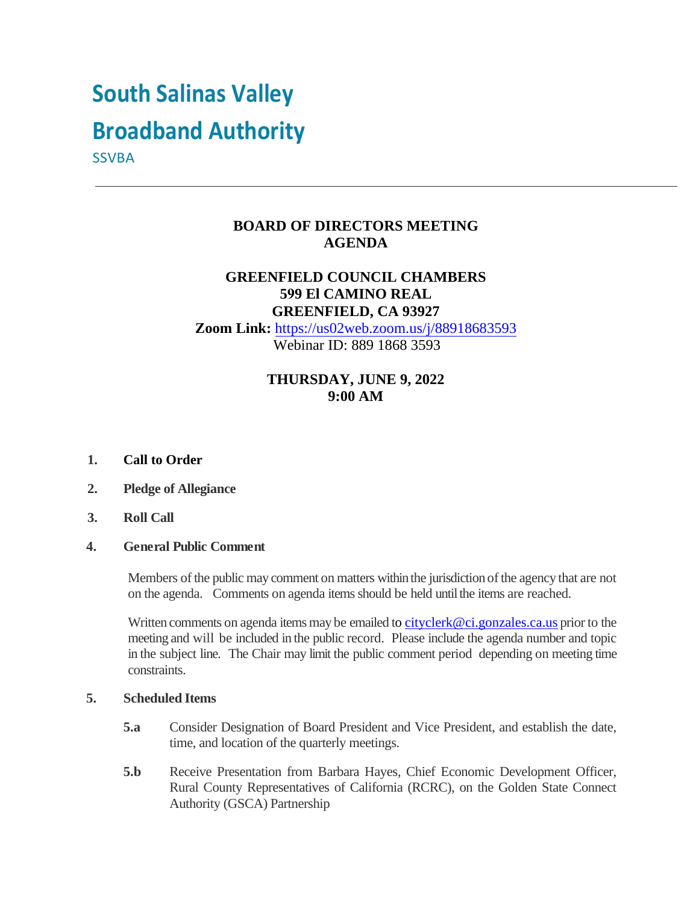# **South Salinas Valley**

# **Broadband Authority**

**SSVBA** 

# **BOARD OF DIRECTORS MEETING AGENDA**

# **GREENFIELD COUNCIL CHAMBERS 599 El CAMINO REAL GREENFIELD, CA 93927**

**Zoom Link:** <https://us02web.zoom.us/j/88918683593> Webinar ID: 889 1868 3593

# **THURSDAY, JUNE 9, 2022 9:00 AM**

#### **1. Call to Order**

- **2. Pledge of Allegiance**
- **3. Roll Call**

#### **4. General Public Comment**

Members of the public may comment on matters within the jurisdiction of the agency that are not on the agenda. Comments on agenda items should be held until the items are reached.

Written comments on agenda items may be emailed [to cityclerk@ci.gonzales.ca.us](mailto:o%20cityclerk@ci.gonzales.ca.us) prior to the meeting and will be included in the public record. Please include the agenda number and topic in the subject line. The Chair may limit the public comment period depending on meeting time constraints.

#### **5. Scheduled Items**

- **5.a** Consider Designation of Board President and Vice President, and establish the date, time, and location of the quarterly meetings.
- **5.b** Receive Presentation from Barbara Hayes, Chief Economic Development Officer, Rural County Representatives of California (RCRC), on the Golden State Connect Authority (GSCA) Partnership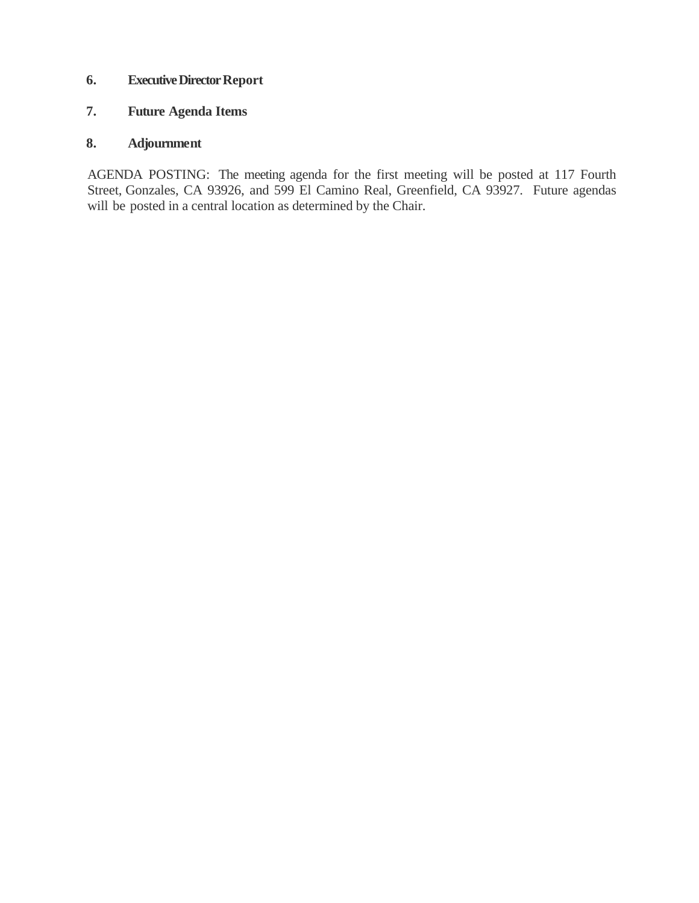#### **6. Executive Director Report**

# **7. Future Agenda Items**

# **8. Adjournment**

AGENDA POSTING: The meeting agenda for the first meeting will be posted at 117 Fourth Street, Gonzales, CA 93926, and 599 El Camino Real, Greenfield, CA 93927. Future agendas will be posted in a central location as determined by the Chair.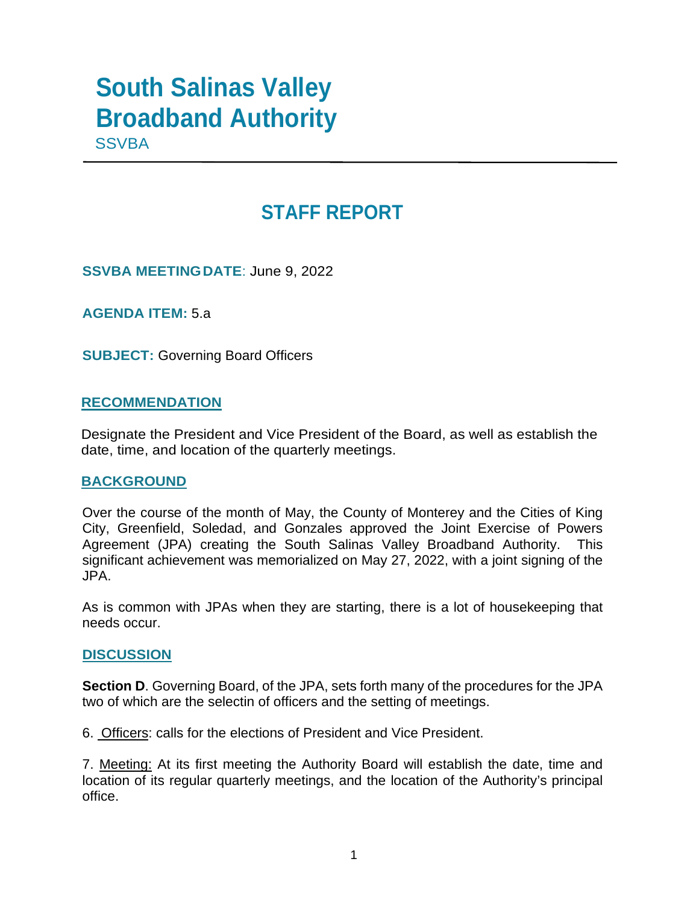# **South Salinas Valley Broadband Authority**

**SSVBA** 

# **STAFF REPORT**

**SSVBA MEETINGDATE**: June 9, 2022

**AGENDA ITEM:** 5.a

**SUBJECT:** Governing Board Officers

# **RECOMMENDATION**

Designate the President and Vice President of the Board, as well as establish the date, time, and location of the quarterly meetings.

## **BACKGROUND**

Over the course of the month of May, the County of Monterey and the Cities of King City, Greenfield, Soledad, and Gonzales approved the Joint Exercise of Powers Agreement (JPA) creating the South Salinas Valley Broadband Authority. This significant achievement was memorialized on May 27, 2022, with a joint signing of the JPA.

As is common with JPAs when they are starting, there is a lot of housekeeping that needs occur.

## **DISCUSSION**

**Section D**. Governing Board, of the JPA, sets forth many of the procedures for the JPA two of which are the selectin of officers and the setting of meetings.

6. Officers: calls for the elections of President and Vice President.

7. Meeting: At its first meeting the Authority Board will establish the date, time and location of its regular quarterly meetings, and the location of the Authority's principal office.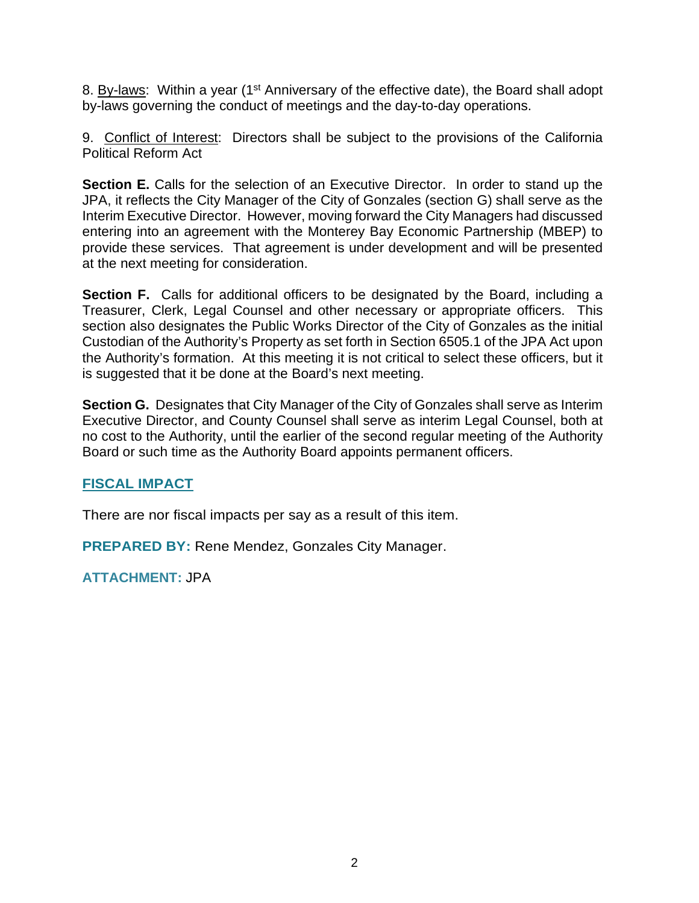8. By-laws: Within a year (1<sup>st</sup> Anniversary of the effective date), the Board shall adopt by-laws governing the conduct of meetings and the day-to-day operations.

9. Conflict of Interest: Directors shall be subject to the provisions of the California Political Reform Act

**Section E.** Calls for the selection of an Executive Director. In order to stand up the JPA, it reflects the City Manager of the City of Gonzales (section G) shall serve as the Interim Executive Director. However, moving forward the City Managers had discussed entering into an agreement with the Monterey Bay Economic Partnership (MBEP) to provide these services. That agreement is under development and will be presented at the next meeting for consideration.

**Section F.** Calls for additional officers to be designated by the Board, including a Treasurer, Clerk, Legal Counsel and other necessary or appropriate officers. This section also designates the Public Works Director of the City of Gonzales as the initial Custodian of the Authority's Property as set forth in Section 6505.1 of the JPA Act upon the Authority's formation. At this meeting it is not critical to select these officers, but it is suggested that it be done at the Board's next meeting.

**Section G.** Designates that City Manager of the City of Gonzales shall serve as Interim Executive Director, and County Counsel shall serve as interim Legal Counsel, both at no cost to the Authority, until the earlier of the second regular meeting of the Authority Board or such time as the Authority Board appoints permanent officers.

# **FISCAL IMPACT**

There are nor fiscal impacts per say as a result of this item.

**PREPARED BY: Rene Mendez, Gonzales City Manager.** 

**ATTACHMENT:** JPA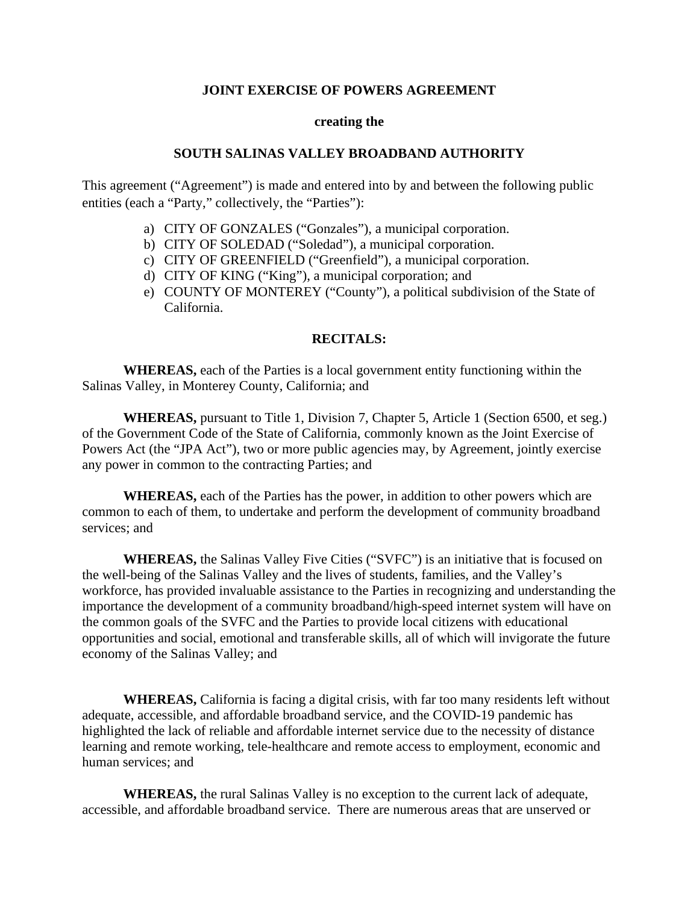#### **JOINT EXERCISE OF POWERS AGREEMENT**

#### **creating the**

#### **SOUTH SALINAS VALLEY BROADBAND AUTHORITY**

This agreement ("Agreement") is made and entered into by and between the following public entities (each a "Party," collectively, the "Parties"):

- a) CITY OF GONZALES ("Gonzales"), a municipal corporation.
- b) CITY OF SOLEDAD ("Soledad"), a municipal corporation.
- c) CITY OF GREENFIELD ("Greenfield"), a municipal corporation.
- d) CITY OF KING ("King"), a municipal corporation; and
- e) COUNTY OF MONTEREY ("County"), a political subdivision of the State of California.

#### **RECITALS:**

**WHEREAS,** each of the Parties is a local government entity functioning within the Salinas Valley, in Monterey County, California; and

**WHEREAS,** pursuant to Title 1, Division 7, Chapter 5, Article 1 (Section 6500, et seg.) of the Government Code of the State of California, commonly known as the Joint Exercise of Powers Act (the "JPA Act"), two or more public agencies may, by Agreement, jointly exercise any power in common to the contracting Parties; and

**WHEREAS,** each of the Parties has the power, in addition to other powers which are common to each of them, to undertake and perform the development of community broadband services; and

**WHEREAS,** the Salinas Valley Five Cities ("SVFC") is an initiative that is focused on the well-being of the Salinas Valley and the lives of students, families, and the Valley's workforce, has provided invaluable assistance to the Parties in recognizing and understanding the importance the development of a community broadband/high-speed internet system will have on the common goals of the SVFC and the Parties to provide local citizens with educational opportunities and social, emotional and transferable skills, all of which will invigorate the future economy of the Salinas Valley; and

**WHEREAS,** California is facing a digital crisis, with far too many residents left without adequate, accessible, and affordable broadband service, and the COVID-19 pandemic has highlighted the lack of reliable and affordable internet service due to the necessity of distance learning and remote working, tele-healthcare and remote access to employment, economic and human services; and

**WHEREAS,** the rural Salinas Valley is no exception to the current lack of adequate, accessible, and affordable broadband service. There are numerous areas that are unserved or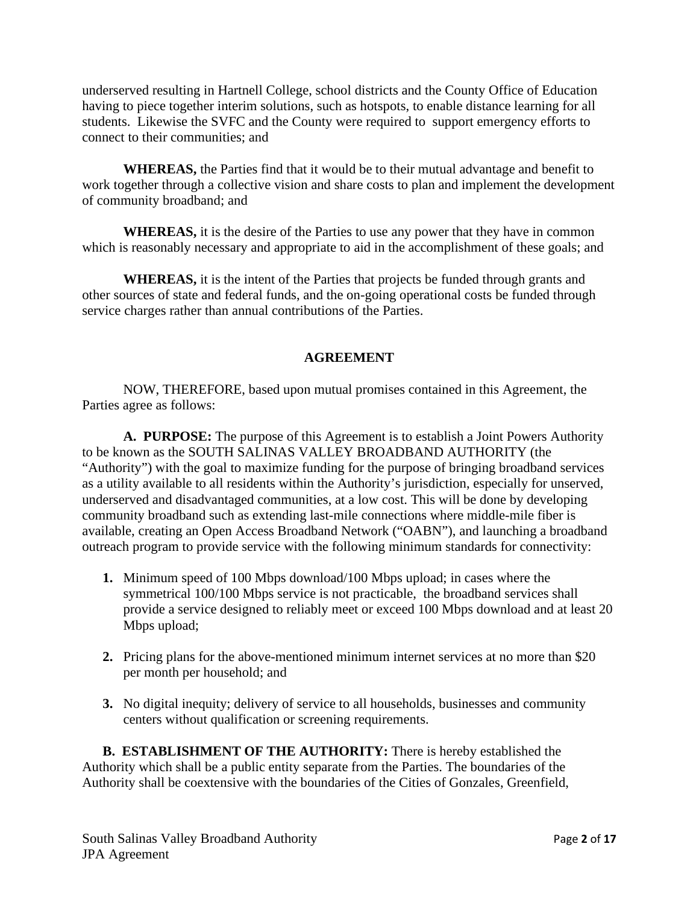underserved resulting in Hartnell College, school districts and the County Office of Education having to piece together interim solutions, such as hotspots, to enable distance learning for all students. Likewise the SVFC and the County were required to support emergency efforts to connect to their communities; and

**WHEREAS,** the Parties find that it would be to their mutual advantage and benefit to work together through a collective vision and share costs to plan and implement the development of community broadband; and

**WHEREAS,** it is the desire of the Parties to use any power that they have in common which is reasonably necessary and appropriate to aid in the accomplishment of these goals; and

**WHEREAS,** it is the intent of the Parties that projects be funded through grants and other sources of state and federal funds, and the on-going operational costs be funded through service charges rather than annual contributions of the Parties.

#### **AGREEMENT**

NOW, THEREFORE, based upon mutual promises contained in this Agreement, the Parties agree as follows:

**A. PURPOSE:** The purpose of this Agreement is to establish a Joint Powers Authority to be known as the SOUTH SALINAS VALLEY BROADBAND AUTHORITY (the "Authority") with the goal to maximize funding for the purpose of bringing broadband services as a utility available to all residents within the Authority's jurisdiction, especially for unserved, underserved and disadvantaged communities, at a low cost. This will be done by developing community broadband such as extending last-mile connections where middle-mile fiber is available, creating an Open Access Broadband Network ("OABN"), and launching a broadband outreach program to provide service with the following minimum standards for connectivity:

- **1.** Minimum speed of 100 Mbps download/100 Mbps upload; in cases where the symmetrical 100/100 Mbps service is not practicable, the broadband services shall provide a service designed to reliably meet or exceed 100 Mbps download and at least 20 Mbps upload;
- **2.** Pricing plans for the above-mentioned minimum internet services at no more than \$20 per month per household; and
- **3.** No digital inequity; delivery of service to all households, businesses and community centers without qualification or screening requirements.

**B. ESTABLISHMENT OF THE AUTHORITY:** There is hereby established the Authority which shall be a public entity separate from the Parties. The boundaries of the Authority shall be coextensive with the boundaries of the Cities of Gonzales, Greenfield,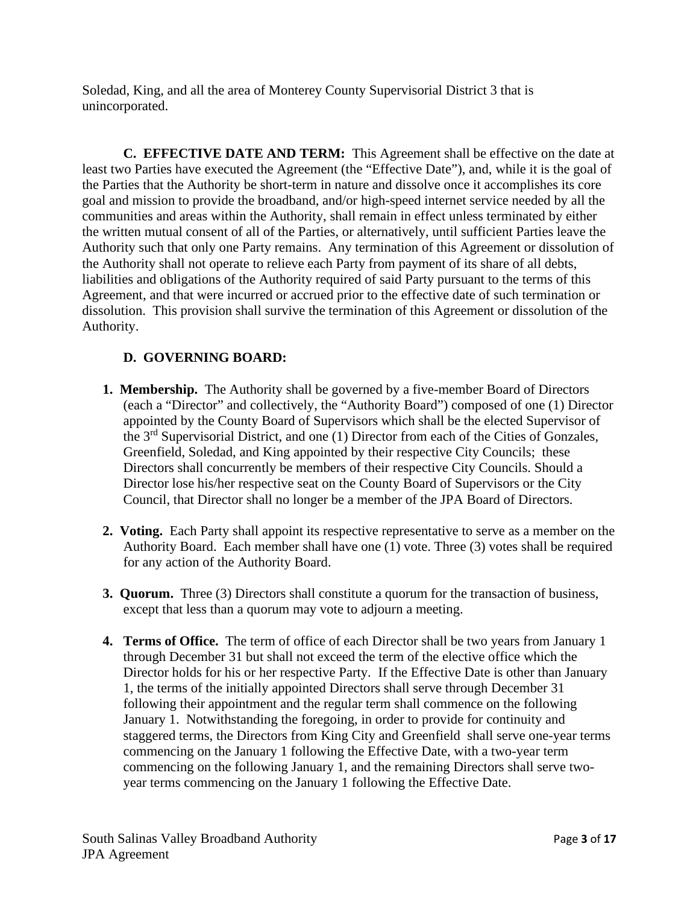Soledad, King, and all the area of Monterey County Supervisorial District 3 that is unincorporated.

**C. EFFECTIVE DATE AND TERM:** This Agreement shall be effective on the date at least two Parties have executed the Agreement (the "Effective Date"), and, while it is the goal of the Parties that the Authority be short-term in nature and dissolve once it accomplishes its core goal and mission to provide the broadband, and/or high-speed internet service needed by all the communities and areas within the Authority, shall remain in effect unless terminated by either the written mutual consent of all of the Parties, or alternatively, until sufficient Parties leave the Authority such that only one Party remains. Any termination of this Agreement or dissolution of the Authority shall not operate to relieve each Party from payment of its share of all debts, liabilities and obligations of the Authority required of said Party pursuant to the terms of this Agreement, and that were incurred or accrued prior to the effective date of such termination or dissolution. This provision shall survive the termination of this Agreement or dissolution of the Authority.

# **D. GOVERNING BOARD:**

- **1. Membership.** The Authority shall be governed by a five-member Board of Directors (each a "Director" and collectively, the "Authority Board") composed of one (1) Director appointed by the County Board of Supervisors which shall be the elected Supervisor of the 3<sup>rd</sup> Supervisorial District, and one (1) Director from each of the Cities of Gonzales, Greenfield, Soledad, and King appointed by their respective City Councils; these Directors shall concurrently be members of their respective City Councils. Should a Director lose his/her respective seat on the County Board of Supervisors or the City Council, that Director shall no longer be a member of the JPA Board of Directors.
- **2. Voting.** Each Party shall appoint its respective representative to serve as a member on the Authority Board. Each member shall have one (1) vote. Three (3) votes shall be required for any action of the Authority Board.
- **3. Quorum.** Three (3) Directors shall constitute a quorum for the transaction of business, except that less than a quorum may vote to adjourn a meeting.
- **4. Terms of Office.** The term of office of each Director shall be two years from January 1 through December 31 but shall not exceed the term of the elective office which the Director holds for his or her respective Party. If the Effective Date is other than January 1, the terms of the initially appointed Directors shall serve through December 31 following their appointment and the regular term shall commence on the following January 1. Notwithstanding the foregoing, in order to provide for continuity and staggered terms, the Directors from King City and Greenfield shall serve one-year terms commencing on the January 1 following the Effective Date, with a two-year term commencing on the following January 1, and the remaining Directors shall serve twoyear terms commencing on the January 1 following the Effective Date.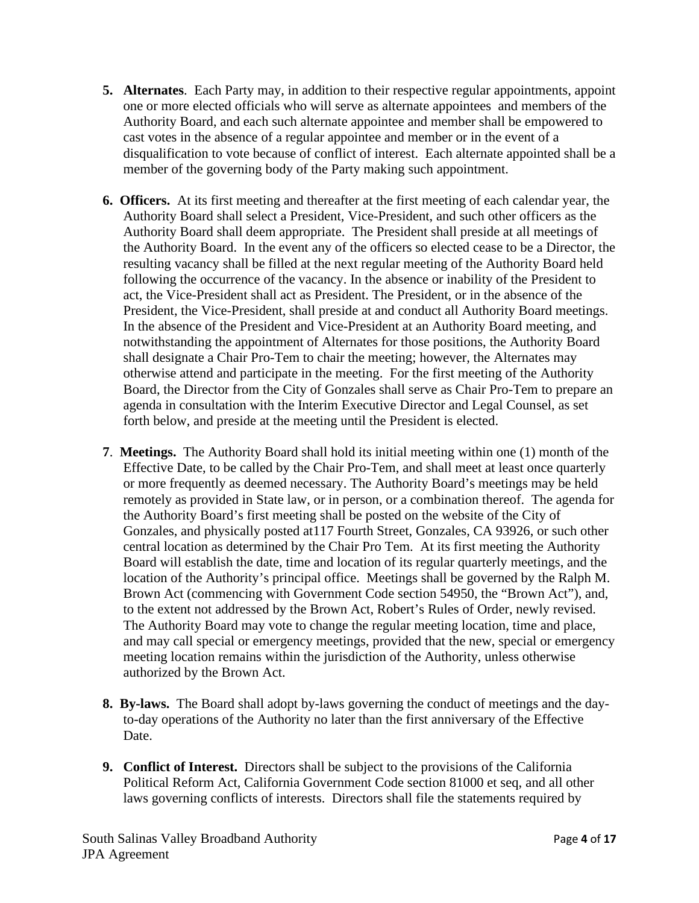- **5. Alternates**. Each Party may, in addition to their respective regular appointments, appoint one or more elected officials who will serve as alternate appointees and members of the Authority Board, and each such alternate appointee and member shall be empowered to cast votes in the absence of a regular appointee and member or in the event of a disqualification to vote because of conflict of interest. Each alternate appointed shall be a member of the governing body of the Party making such appointment.
- **6. Officers.** At its first meeting and thereafter at the first meeting of each calendar year, the Authority Board shall select a President, Vice-President, and such other officers as the Authority Board shall deem appropriate. The President shall preside at all meetings of the Authority Board. In the event any of the officers so elected cease to be a Director, the resulting vacancy shall be filled at the next regular meeting of the Authority Board held following the occurrence of the vacancy. In the absence or inability of the President to act, the Vice-President shall act as President. The President, or in the absence of the President, the Vice-President, shall preside at and conduct all Authority Board meetings. In the absence of the President and Vice-President at an Authority Board meeting, and notwithstanding the appointment of Alternates for those positions, the Authority Board shall designate a Chair Pro-Tem to chair the meeting; however, the Alternates may otherwise attend and participate in the meeting. For the first meeting of the Authority Board, the Director from the City of Gonzales shall serve as Chair Pro-Tem to prepare an agenda in consultation with the Interim Executive Director and Legal Counsel, as set forth below, and preside at the meeting until the President is elected.
- **7**. **Meetings.** The Authority Board shall hold its initial meeting within one (1) month of the Effective Date, to be called by the Chair Pro-Tem, and shall meet at least once quarterly or more frequently as deemed necessary. The Authority Board's meetings may be held remotely as provided in State law, or in person, or a combination thereof. The agenda for the Authority Board's first meeting shall be posted on the website of the City of Gonzales, and physically posted at117 Fourth Street, Gonzales, CA 93926, or such other central location as determined by the Chair Pro Tem. At its first meeting the Authority Board will establish the date, time and location of its regular quarterly meetings, and the location of the Authority's principal office. Meetings shall be governed by the Ralph M. Brown Act (commencing with Government Code section 54950, the "Brown Act"), and, to the extent not addressed by the Brown Act, Robert's Rules of Order, newly revised. The Authority Board may vote to change the regular meeting location, time and place, and may call special or emergency meetings, provided that the new, special or emergency meeting location remains within the jurisdiction of the Authority, unless otherwise authorized by the Brown Act.
- **8. By-laws.** The Board shall adopt by-laws governing the conduct of meetings and the dayto-day operations of the Authority no later than the first anniversary of the Effective Date.
- **9. Conflict of Interest.** Directors shall be subject to the provisions of the California Political Reform Act, California Government Code section 81000 et seq, and all other laws governing conflicts of interests. Directors shall file the statements required by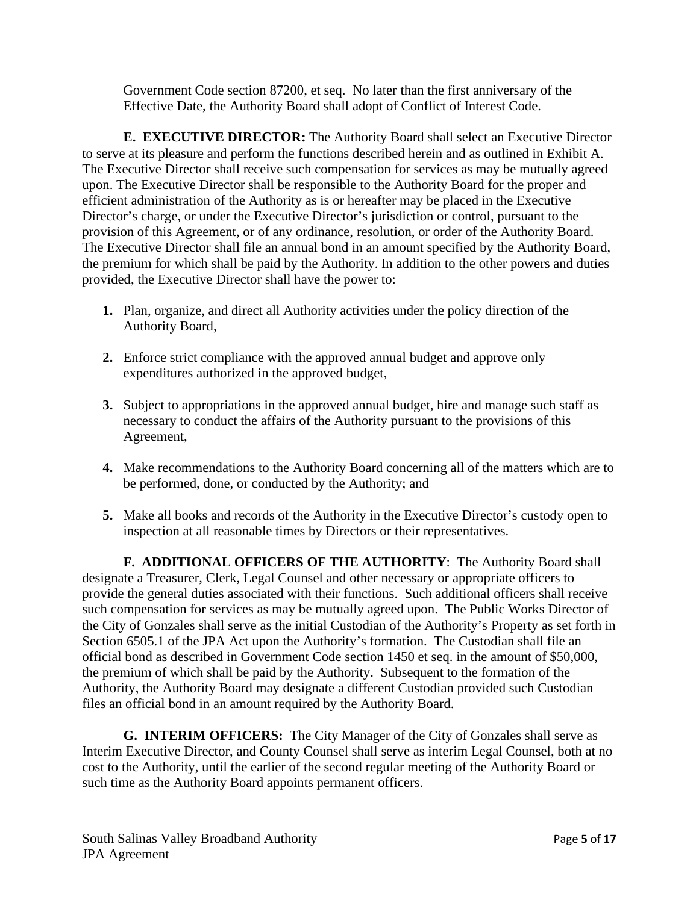Government Code section 87200, et seq. No later than the first anniversary of the Effective Date, the Authority Board shall adopt of Conflict of Interest Code.

**E. EXECUTIVE DIRECTOR:** The Authority Board shall select an Executive Director to serve at its pleasure and perform the functions described herein and as outlined in Exhibit A. The Executive Director shall receive such compensation for services as may be mutually agreed upon. The Executive Director shall be responsible to the Authority Board for the proper and efficient administration of the Authority as is or hereafter may be placed in the Executive Director's charge, or under the Executive Director's jurisdiction or control, pursuant to the provision of this Agreement, or of any ordinance, resolution, or order of the Authority Board. The Executive Director shall file an annual bond in an amount specified by the Authority Board, the premium for which shall be paid by the Authority. In addition to the other powers and duties provided, the Executive Director shall have the power to:

- **1.** Plan, organize, and direct all Authority activities under the policy direction of the Authority Board,
- **2.** Enforce strict compliance with the approved annual budget and approve only expenditures authorized in the approved budget,
- **3.** Subject to appropriations in the approved annual budget, hire and manage such staff as necessary to conduct the affairs of the Authority pursuant to the provisions of this Agreement,
- **4.** Make recommendations to the Authority Board concerning all of the matters which are to be performed, done, or conducted by the Authority; and
- **5.** Make all books and records of the Authority in the Executive Director's custody open to inspection at all reasonable times by Directors or their representatives.

**F. ADDITIONAL OFFICERS OF THE AUTHORITY**: The Authority Board shall designate a Treasurer, Clerk, Legal Counsel and other necessary or appropriate officers to provide the general duties associated with their functions. Such additional officers shall receive such compensation for services as may be mutually agreed upon. The Public Works Director of the City of Gonzales shall serve as the initial Custodian of the Authority's Property as set forth in Section 6505.1 of the JPA Act upon the Authority's formation. The Custodian shall file an official bond as described in Government Code section 1450 et seq. in the amount of \$50,000, the premium of which shall be paid by the Authority. Subsequent to the formation of the Authority, the Authority Board may designate a different Custodian provided such Custodian files an official bond in an amount required by the Authority Board.

**G. INTERIM OFFICERS:** The City Manager of the City of Gonzales shall serve as Interim Executive Director, and County Counsel shall serve as interim Legal Counsel, both at no cost to the Authority, until the earlier of the second regular meeting of the Authority Board or such time as the Authority Board appoints permanent officers.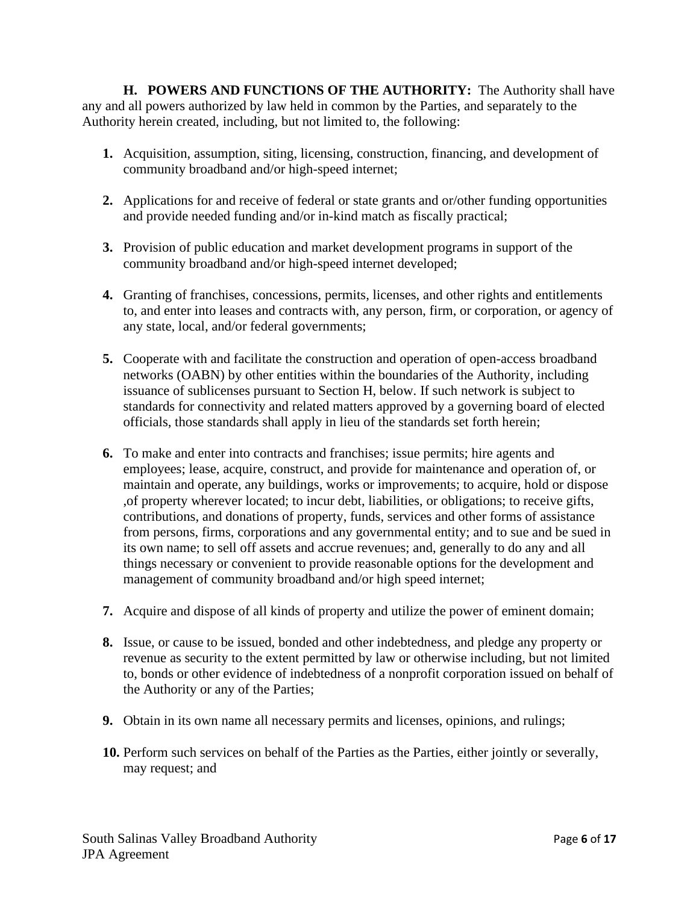**H. POWERS AND FUNCTIONS OF THE AUTHORITY:** The Authority shall have any and all powers authorized by law held in common by the Parties, and separately to the Authority herein created, including, but not limited to, the following:

- **1.** Acquisition, assumption, siting, licensing, construction, financing, and development of community broadband and/or high-speed internet;
- **2.** Applications for and receive of federal or state grants and or/other funding opportunities and provide needed funding and/or in-kind match as fiscally practical;
- **3.** Provision of public education and market development programs in support of the community broadband and/or high-speed internet developed;
- **4.** Granting of franchises, concessions, permits, licenses, and other rights and entitlements to, and enter into leases and contracts with, any person, firm, or corporation, or agency of any state, local, and/or federal governments;
- **5.** Cooperate with and facilitate the construction and operation of open-access broadband networks (OABN) by other entities within the boundaries of the Authority, including issuance of sublicenses pursuant to Section H, below. If such network is subject to standards for connectivity and related matters approved by a governing board of elected officials, those standards shall apply in lieu of the standards set forth herein;
- **6.** To make and enter into contracts and franchises; issue permits; hire agents and employees; lease, acquire, construct, and provide for maintenance and operation of, or maintain and operate, any buildings, works or improvements; to acquire, hold or dispose ,of property wherever located; to incur debt, liabilities, or obligations; to receive gifts, contributions, and donations of property, funds, services and other forms of assistance from persons, firms, corporations and any governmental entity; and to sue and be sued in its own name; to sell off assets and accrue revenues; and, generally to do any and all things necessary or convenient to provide reasonable options for the development and management of community broadband and/or high speed internet;
- **7.** Acquire and dispose of all kinds of property and utilize the power of eminent domain;
- **8.** Issue, or cause to be issued, bonded and other indebtedness, and pledge any property or revenue as security to the extent permitted by law or otherwise including, but not limited to, bonds or other evidence of indebtedness of a nonprofit corporation issued on behalf of the Authority or any of the Parties;
- **9.** Obtain in its own name all necessary permits and licenses, opinions, and rulings;
- **10.** Perform such services on behalf of the Parties as the Parties, either jointly or severally, may request; and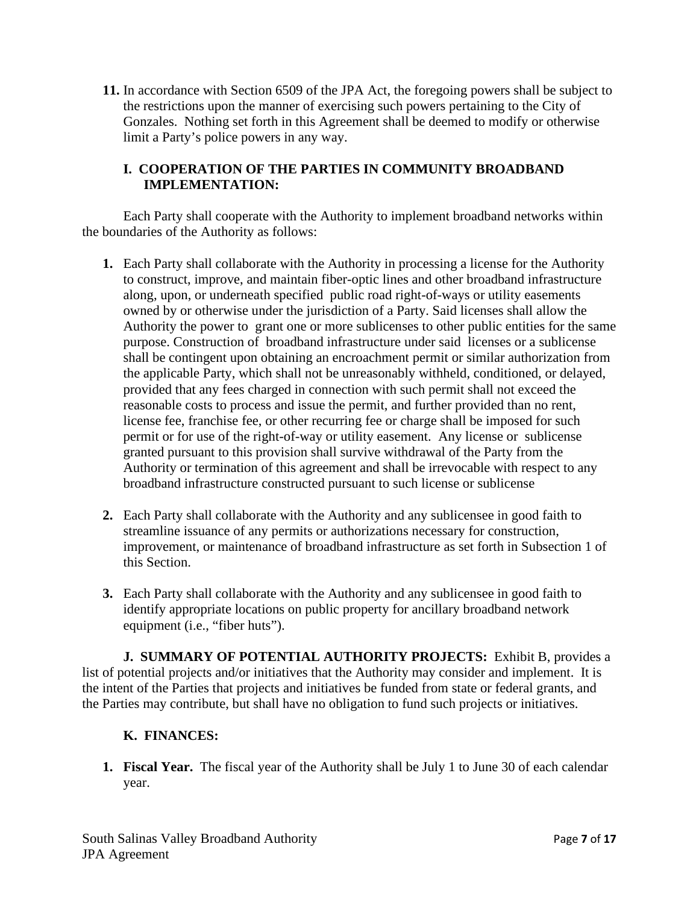**11.** In accordance with Section 6509 of the JPA Act, the foregoing powers shall be subject to the restrictions upon the manner of exercising such powers pertaining to the City of Gonzales. Nothing set forth in this Agreement shall be deemed to modify or otherwise limit a Party's police powers in any way.

## **I. COOPERATION OF THE PARTIES IN COMMUNITY BROADBAND IMPLEMENTATION:**

Each Party shall cooperate with the Authority to implement broadband networks within the boundaries of the Authority as follows:

- **1.** Each Party shall collaborate with the Authority in processing a license for the Authority to construct, improve, and maintain fiber-optic lines and other broadband infrastructure along, upon, or underneath specified public road right-of-ways or utility easements owned by or otherwise under the jurisdiction of a Party. Said licenses shall allow the Authority the power to grant one or more sublicenses to other public entities for the same purpose. Construction of broadband infrastructure under said licenses or a sublicense shall be contingent upon obtaining an encroachment permit or similar authorization from the applicable Party, which shall not be unreasonably withheld, conditioned, or delayed, provided that any fees charged in connection with such permit shall not exceed the reasonable costs to process and issue the permit, and further provided than no rent, license fee, franchise fee, or other recurring fee or charge shall be imposed for such permit or for use of the right-of-way or utility easement. Any license or sublicense granted pursuant to this provision shall survive withdrawal of the Party from the Authority or termination of this agreement and shall be irrevocable with respect to any broadband infrastructure constructed pursuant to such license or sublicense
- **2.** Each Party shall collaborate with the Authority and any sublicensee in good faith to streamline issuance of any permits or authorizations necessary for construction, improvement, or maintenance of broadband infrastructure as set forth in Subsection 1 of this Section.
- **3.** Each Party shall collaborate with the Authority and any sublicensee in good faith to identify appropriate locations on public property for ancillary broadband network equipment (i.e., "fiber huts").

**J. SUMMARY OF POTENTIAL AUTHORITY PROJECTS:** Exhibit B, provides a list of potential projects and/or initiatives that the Authority may consider and implement. It is the intent of the Parties that projects and initiatives be funded from state or federal grants, and the Parties may contribute, but shall have no obligation to fund such projects or initiatives.

## **K. FINANCES:**

**1. Fiscal Year.** The fiscal year of the Authority shall be July 1 to June 30 of each calendar year.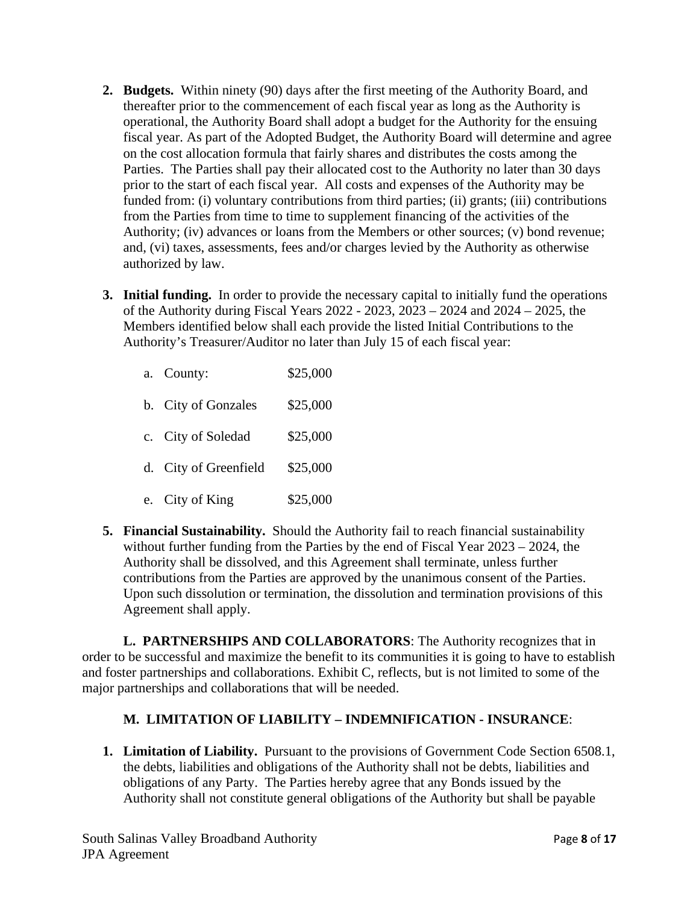- **2. Budgets.** Within ninety (90) days after the first meeting of the Authority Board, and thereafter prior to the commencement of each fiscal year as long as the Authority is operational, the Authority Board shall adopt a budget for the Authority for the ensuing fiscal year. As part of the Adopted Budget, the Authority Board will determine and agree on the cost allocation formula that fairly shares and distributes the costs among the Parties. The Parties shall pay their allocated cost to the Authority no later than 30 days prior to the start of each fiscal year. All costs and expenses of the Authority may be funded from: (i) voluntary contributions from third parties; (ii) grants; (iii) contributions from the Parties from time to time to supplement financing of the activities of the Authority; (iv) advances or loans from the Members or other sources; (v) bond revenue; and, (vi) taxes, assessments, fees and/or charges levied by the Authority as otherwise authorized by law.
- **3. Initial funding.** In order to provide the necessary capital to initially fund the operations of the Authority during Fiscal Years 2022 - 2023, 2023 – 2024 and 2024 – 2025, the Members identified below shall each provide the listed Initial Contributions to the Authority's Treasurer/Auditor no later than July 15 of each fiscal year:

| a. County:            | \$25,000 |
|-----------------------|----------|
| b. City of Gonzales   | \$25,000 |
| c. City of Soledad    | \$25,000 |
| d. City of Greenfield | \$25,000 |
| e. City of King       | \$25,000 |

**5. Financial Sustainability.** Should the Authority fail to reach financial sustainability without further funding from the Parties by the end of Fiscal Year 2023 – 2024, the Authority shall be dissolved, and this Agreement shall terminate, unless further contributions from the Parties are approved by the unanimous consent of the Parties. Upon such dissolution or termination, the dissolution and termination provisions of this Agreement shall apply.

**L. PARTNERSHIPS AND COLLABORATORS**: The Authority recognizes that in order to be successful and maximize the benefit to its communities it is going to have to establish and foster partnerships and collaborations. Exhibit C, reflects, but is not limited to some of the major partnerships and collaborations that will be needed.

# **M. LIMITATION OF LIABILITY – INDEMNIFICATION - INSURANCE**:

**1. Limitation of Liability.** Pursuant to the provisions of Government Code Section 6508.1, the debts, liabilities and obligations of the Authority shall not be debts, liabilities and obligations of any Party. The Parties hereby agree that any Bonds issued by the Authority shall not constitute general obligations of the Authority but shall be payable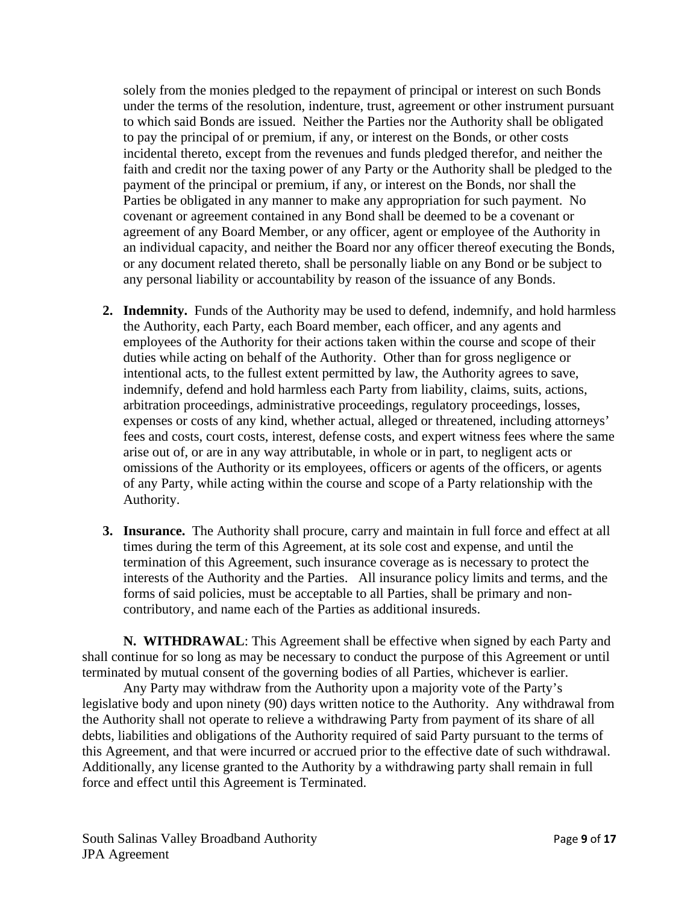solely from the monies pledged to the repayment of principal or interest on such Bonds under the terms of the resolution, indenture, trust, agreement or other instrument pursuant to which said Bonds are issued. Neither the Parties nor the Authority shall be obligated to pay the principal of or premium, if any, or interest on the Bonds, or other costs incidental thereto, except from the revenues and funds pledged therefor, and neither the faith and credit nor the taxing power of any Party or the Authority shall be pledged to the payment of the principal or premium, if any, or interest on the Bonds, nor shall the Parties be obligated in any manner to make any appropriation for such payment. No covenant or agreement contained in any Bond shall be deemed to be a covenant or agreement of any Board Member, or any officer, agent or employee of the Authority in an individual capacity, and neither the Board nor any officer thereof executing the Bonds, or any document related thereto, shall be personally liable on any Bond or be subject to any personal liability or accountability by reason of the issuance of any Bonds.

- **2. Indemnity.** Funds of the Authority may be used to defend, indemnify, and hold harmless the Authority, each Party, each Board member, each officer, and any agents and employees of the Authority for their actions taken within the course and scope of their duties while acting on behalf of the Authority. Other than for gross negligence or intentional acts, to the fullest extent permitted by law, the Authority agrees to save, indemnify, defend and hold harmless each Party from liability, claims, suits, actions, arbitration proceedings, administrative proceedings, regulatory proceedings, losses, expenses or costs of any kind, whether actual, alleged or threatened, including attorneys' fees and costs, court costs, interest, defense costs, and expert witness fees where the same arise out of, or are in any way attributable, in whole or in part, to negligent acts or omissions of the Authority or its employees, officers or agents of the officers, or agents of any Party, while acting within the course and scope of a Party relationship with the Authority.
- **3. Insurance.** The Authority shall procure, carry and maintain in full force and effect at all times during the term of this Agreement, at its sole cost and expense, and until the termination of this Agreement, such insurance coverage as is necessary to protect the interests of the Authority and the Parties. All insurance policy limits and terms, and the forms of said policies, must be acceptable to all Parties, shall be primary and noncontributory, and name each of the Parties as additional insureds.

**N. WITHDRAWAL**: This Agreement shall be effective when signed by each Party and shall continue for so long as may be necessary to conduct the purpose of this Agreement or until terminated by mutual consent of the governing bodies of all Parties, whichever is earlier.

Any Party may withdraw from the Authority upon a majority vote of the Party's legislative body and upon ninety (90) days written notice to the Authority. Any withdrawal from the Authority shall not operate to relieve a withdrawing Party from payment of its share of all debts, liabilities and obligations of the Authority required of said Party pursuant to the terms of this Agreement, and that were incurred or accrued prior to the effective date of such withdrawal. Additionally, any license granted to the Authority by a withdrawing party shall remain in full force and effect until this Agreement is Terminated.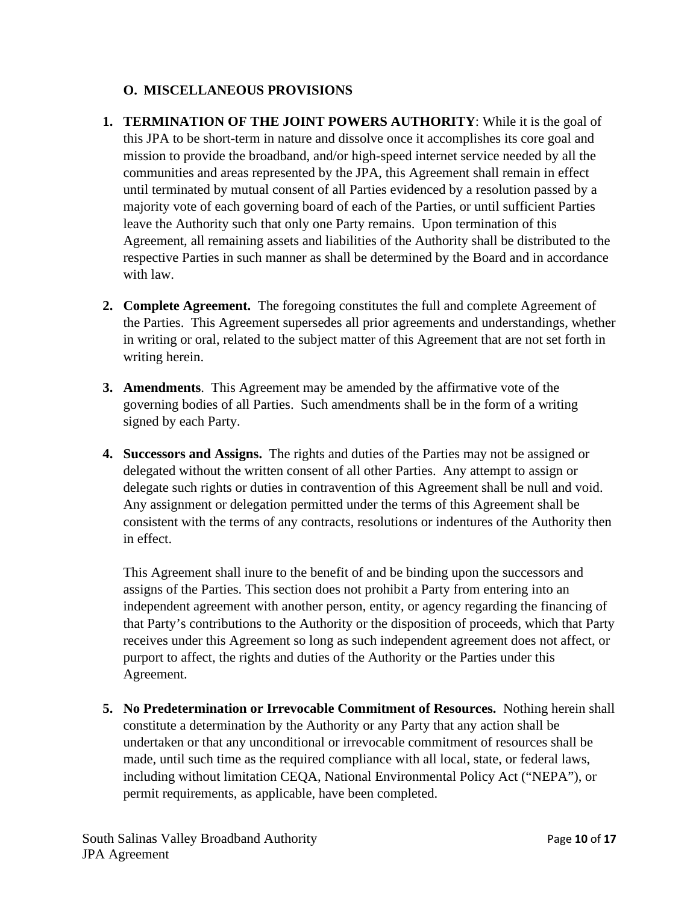# **O. MISCELLANEOUS PROVISIONS**

- **1. TERMINATION OF THE JOINT POWERS AUTHORITY**: While it is the goal of this JPA to be short-term in nature and dissolve once it accomplishes its core goal and mission to provide the broadband, and/or high-speed internet service needed by all the communities and areas represented by the JPA, this Agreement shall remain in effect until terminated by mutual consent of all Parties evidenced by a resolution passed by a majority vote of each governing board of each of the Parties, or until sufficient Parties leave the Authority such that only one Party remains. Upon termination of this Agreement, all remaining assets and liabilities of the Authority shall be distributed to the respective Parties in such manner as shall be determined by the Board and in accordance with law.
- **2. Complete Agreement.** The foregoing constitutes the full and complete Agreement of the Parties. This Agreement supersedes all prior agreements and understandings, whether in writing or oral, related to the subject matter of this Agreement that are not set forth in writing herein.
- **3. Amendments**. This Agreement may be amended by the affirmative vote of the governing bodies of all Parties. Such amendments shall be in the form of a writing signed by each Party.
- **4. Successors and Assigns.** The rights and duties of the Parties may not be assigned or delegated without the written consent of all other Parties. Any attempt to assign or delegate such rights or duties in contravention of this Agreement shall be null and void. Any assignment or delegation permitted under the terms of this Agreement shall be consistent with the terms of any contracts, resolutions or indentures of the Authority then in effect.

This Agreement shall inure to the benefit of and be binding upon the successors and assigns of the Parties. This section does not prohibit a Party from entering into an independent agreement with another person, entity, or agency regarding the financing of that Party's contributions to the Authority or the disposition of proceeds, which that Party receives under this Agreement so long as such independent agreement does not affect, or purport to affect, the rights and duties of the Authority or the Parties under this Agreement.

**5. No Predetermination or Irrevocable Commitment of Resources.** Nothing herein shall constitute a determination by the Authority or any Party that any action shall be undertaken or that any unconditional or irrevocable commitment of resources shall be made, until such time as the required compliance with all local, state, or federal laws, including without limitation CEQA, National Environmental Policy Act ("NEPA"), or permit requirements, as applicable, have been completed.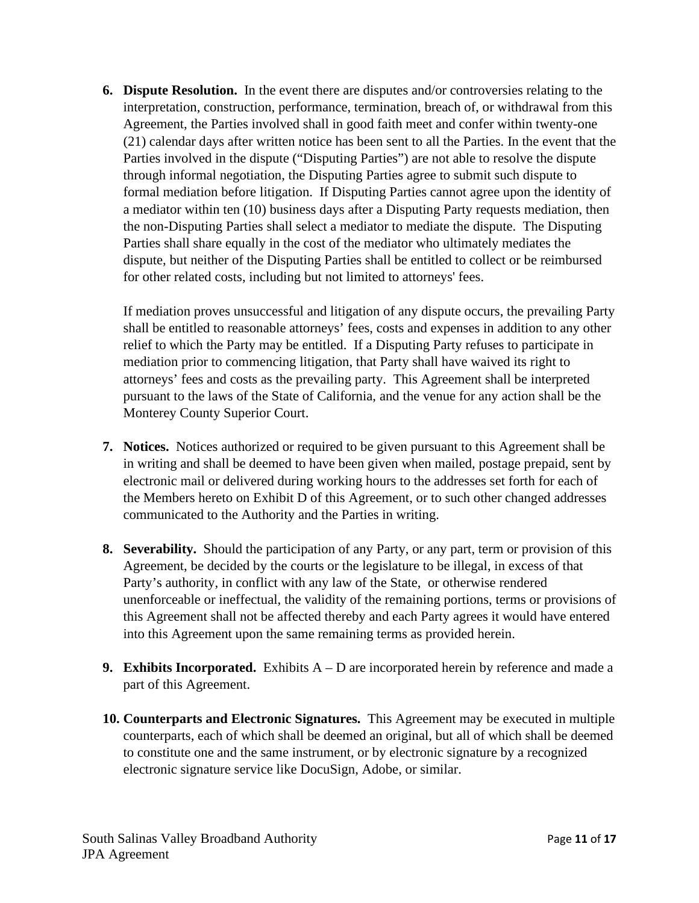**6. Dispute Resolution.** In the event there are disputes and/or controversies relating to the interpretation, construction, performance, termination, breach of, or withdrawal from this Agreement, the Parties involved shall in good faith meet and confer within twenty-one (21) calendar days after written notice has been sent to all the Parties. In the event that the Parties involved in the dispute ("Disputing Parties") are not able to resolve the dispute through informal negotiation, the Disputing Parties agree to submit such dispute to formal mediation before litigation. If Disputing Parties cannot agree upon the identity of a mediator within ten (10) business days after a Disputing Party requests mediation, then the non-Disputing Parties shall select a mediator to mediate the dispute. The Disputing Parties shall share equally in the cost of the mediator who ultimately mediates the dispute, but neither of the Disputing Parties shall be entitled to collect or be reimbursed for other related costs, including but not limited to attorneys' fees.

If mediation proves unsuccessful and litigation of any dispute occurs, the prevailing Party shall be entitled to reasonable attorneys' fees, costs and expenses in addition to any other relief to which the Party may be entitled. If a Disputing Party refuses to participate in mediation prior to commencing litigation, that Party shall have waived its right to attorneys' fees and costs as the prevailing party. This Agreement shall be interpreted pursuant to the laws of the State of California, and the venue for any action shall be the Monterey County Superior Court.

- **7. Notices.** Notices authorized or required to be given pursuant to this Agreement shall be in writing and shall be deemed to have been given when mailed, postage prepaid, sent by electronic mail or delivered during working hours to the addresses set forth for each of the Members hereto on Exhibit D of this Agreement, or to such other changed addresses communicated to the Authority and the Parties in writing.
- **8. Severability.** Should the participation of any Party, or any part, term or provision of this Agreement, be decided by the courts or the legislature to be illegal, in excess of that Party's authority, in conflict with any law of the State, or otherwise rendered unenforceable or ineffectual, the validity of the remaining portions, terms or provisions of this Agreement shall not be affected thereby and each Party agrees it would have entered into this Agreement upon the same remaining terms as provided herein.
- **9. Exhibits Incorporated.** Exhibits A D are incorporated herein by reference and made a part of this Agreement.
- **10. Counterparts and Electronic Signatures.** This Agreement may be executed in multiple counterparts, each of which shall be deemed an original, but all of which shall be deemed to constitute one and the same instrument, or by electronic signature by a recognized electronic signature service like DocuSign, Adobe, or similar.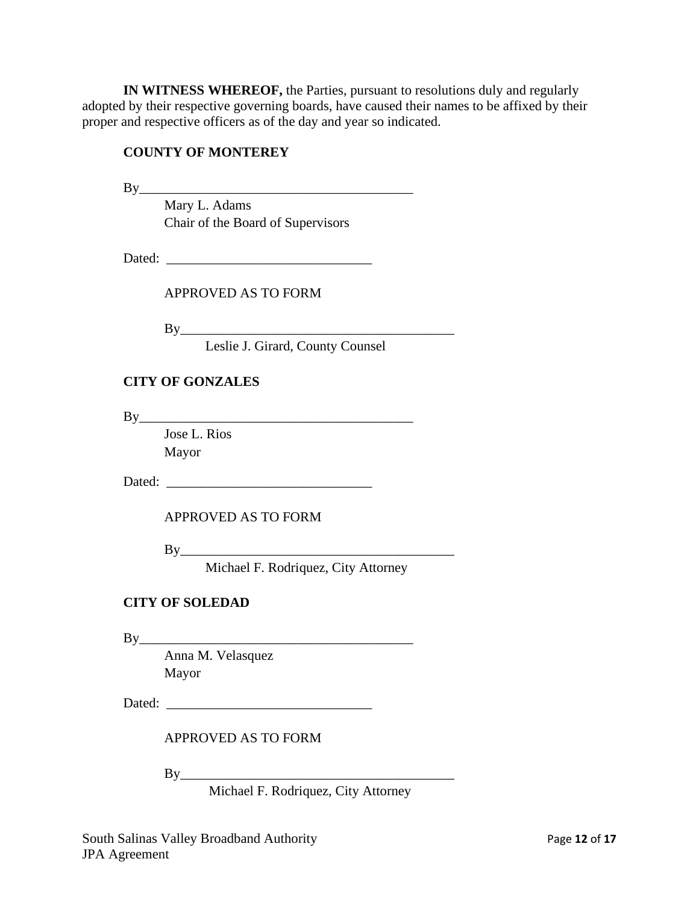**IN WITNESS WHEREOF,** the Parties, pursuant to resolutions duly and regularly adopted by their respective governing boards, have caused their names to be affixed by their proper and respective officers as of the day and year so indicated.

#### **COUNTY OF MONTEREY**

 $By$ 

Mary L. Adams Chair of the Board of Supervisors

Dated:

APPROVED AS TO FORM

By\_\_\_\_\_\_\_\_\_\_\_\_\_\_\_\_\_\_\_\_\_\_\_\_\_\_\_\_\_\_\_\_\_\_\_\_\_\_\_\_

Leslie J. Girard, County Counsel

#### **CITY OF GONZALES**

 $By$ 

Jose L. Rios Mayor

Dated:

APPROVED AS TO FORM

 $By$ 

Michael F. Rodriquez, City Attorney

## **CITY OF SOLEDAD**

 $By$ 

Anna M. Velasquez Mayor

Dated:

APPROVED AS TO FORM

 $By$ 

Michael F. Rodriquez, City Attorney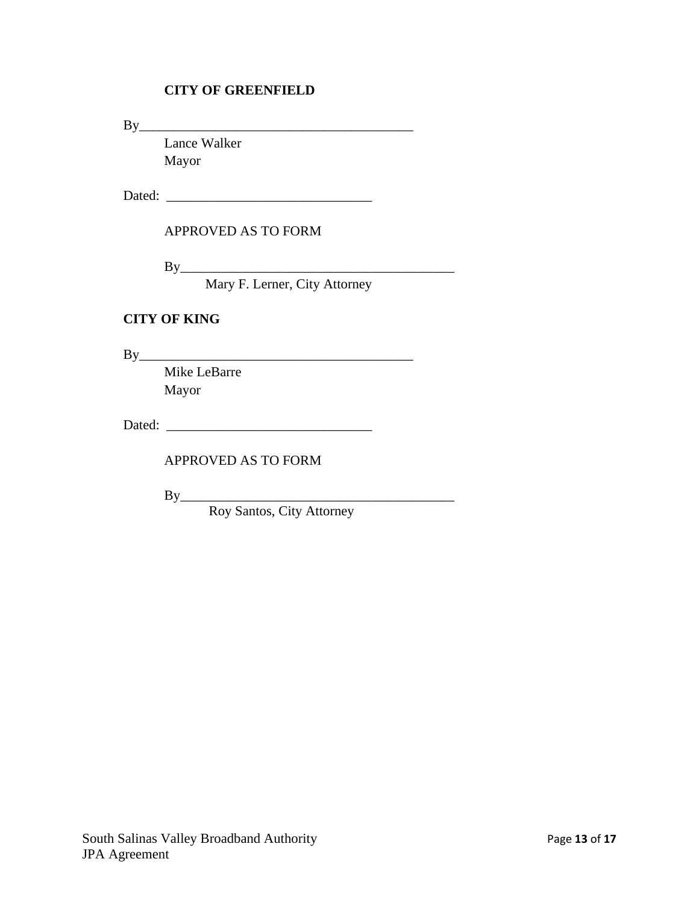# **CITY OF GREENFIELD**

 $By$ 

Lance Walker Mayor

Dated:

#### APPROVED AS TO FORM

 $By$ 

Mary F. Lerner, City Attorney

#### **CITY OF KING**

By\_\_\_\_\_\_\_\_\_\_\_\_\_\_\_\_\_\_\_\_\_\_\_\_\_\_\_\_\_\_\_\_\_\_\_\_\_\_\_\_

Mike LeBarre Mayor

Dated: \_\_\_\_\_\_\_\_\_\_\_\_\_\_\_\_\_\_\_\_\_\_\_\_\_\_\_\_\_\_

APPROVED AS TO FORM

By\_\_\_\_\_\_\_\_\_\_\_\_\_\_\_\_\_\_\_\_\_\_\_\_\_\_\_\_\_\_\_\_\_\_\_\_\_\_\_\_

Roy Santos, City Attorney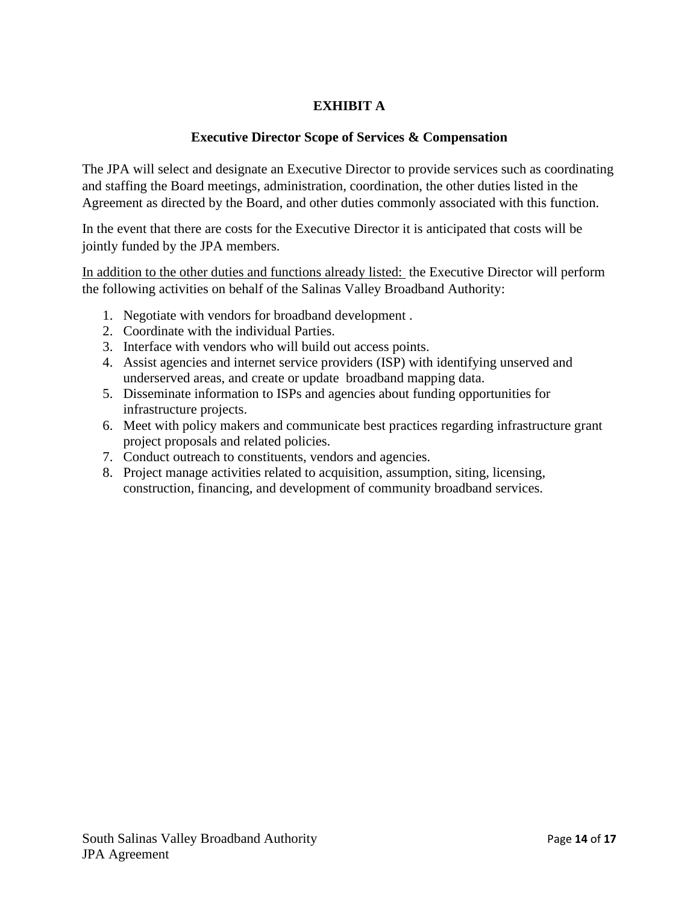# **EXHIBIT A**

#### **Executive Director Scope of Services & Compensation**

The JPA will select and designate an Executive Director to provide services such as coordinating and staffing the Board meetings, administration, coordination, the other duties listed in the Agreement as directed by the Board, and other duties commonly associated with this function.

In the event that there are costs for the Executive Director it is anticipated that costs will be jointly funded by the JPA members.

In addition to the other duties and functions already listed: the Executive Director will perform the following activities on behalf of the Salinas Valley Broadband Authority:

- 1. Negotiate with vendors for broadband development .
- 2. Coordinate with the individual Parties.
- 3. Interface with vendors who will build out access points.
- 4. Assist agencies and internet service providers (ISP) with identifying unserved and underserved areas, and create or update broadband mapping data.
- 5. Disseminate information to ISPs and agencies about funding opportunities for infrastructure projects.
- 6. Meet with policy makers and communicate best practices regarding infrastructure grant project proposals and related policies.
- 7. Conduct outreach to constituents, vendors and agencies.
- 8. Project manage activities related to acquisition, assumption, siting, licensing, construction, financing, and development of community broadband services.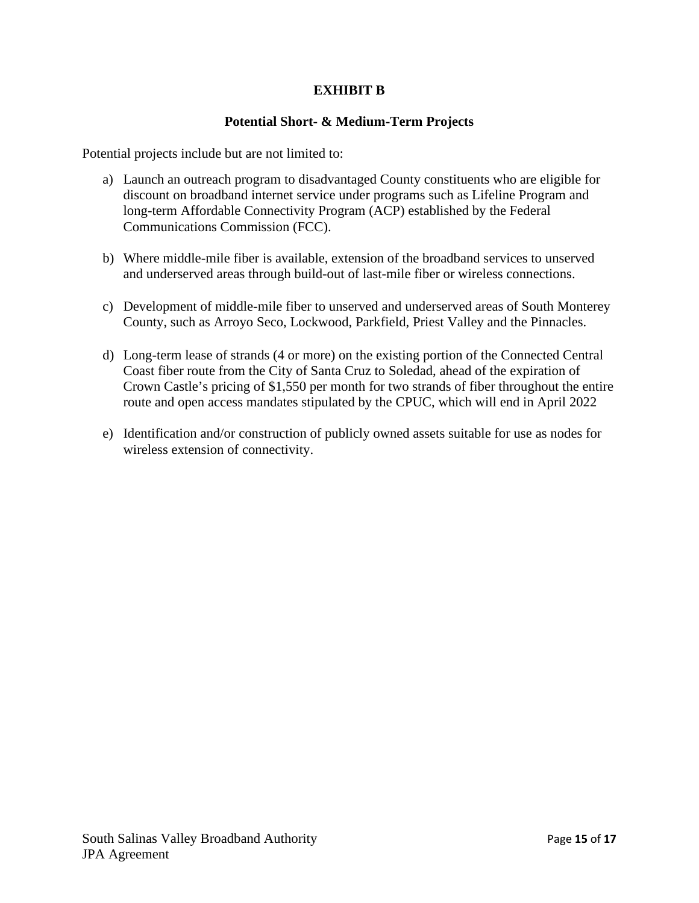## **EXHIBIT B**

#### **Potential Short- & Medium-Term Projects**

Potential projects include but are not limited to:

- a) Launch an outreach program to disadvantaged County constituents who are eligible for discount on broadband internet service under programs such as Lifeline Program and long-term Affordable Connectivity Program (ACP) established by the Federal Communications Commission (FCC).
- b) Where middle-mile fiber is available, extension of the broadband services to unserved and underserved areas through build-out of last-mile fiber or wireless connections.
- c) Development of middle-mile fiber to unserved and underserved areas of South Monterey County, such as Arroyo Seco, Lockwood, Parkfield, Priest Valley and the Pinnacles.
- d) Long-term lease of strands (4 or more) on the existing portion of the Connected Central Coast fiber route from the City of Santa Cruz to Soledad, ahead of the expiration of Crown Castle's pricing of \$1,550 per month for two strands of fiber throughout the entire route and open access mandates stipulated by the CPUC, which will end in April 2022
- e) Identification and/or construction of publicly owned assets suitable for use as nodes for wireless extension of connectivity.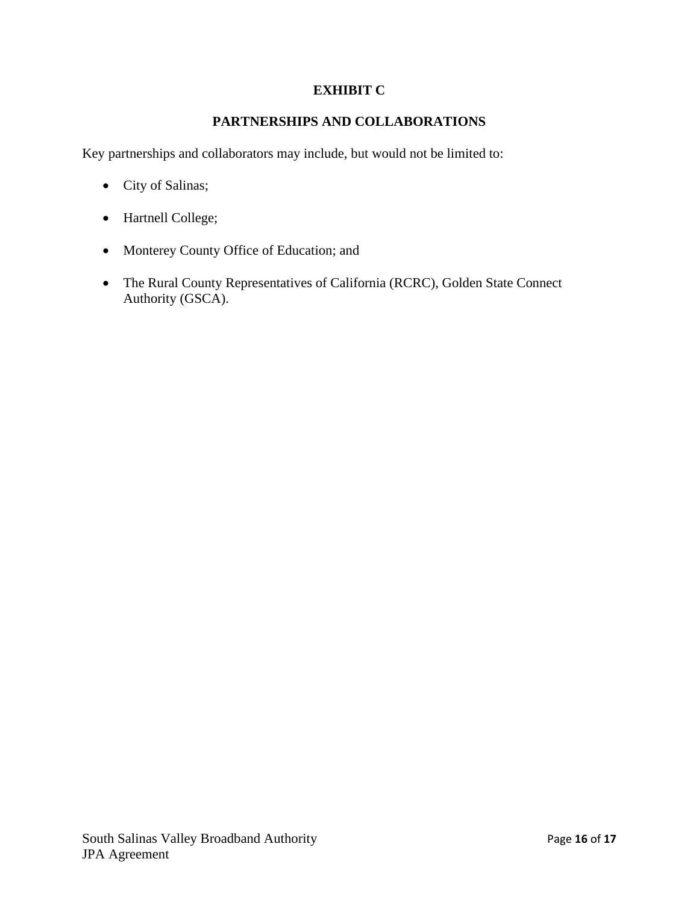# **EXHIBIT C**

# **PARTNERSHIPS AND COLLABORATIONS**

Key partnerships and collaborators may include, but would not be limited to:

- City of Salinas;
- Hartnell College;
- Monterey County Office of Education; and
- The Rural County Representatives of California (RCRC), Golden State Connect Authority (GSCA).